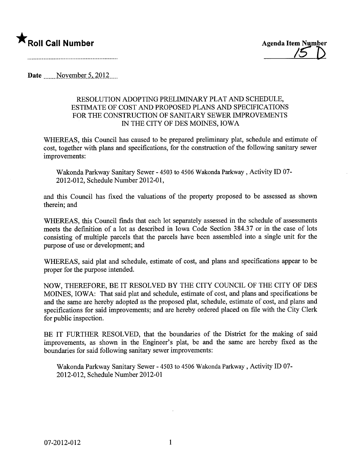

Date  $\sim$  November 5, 2012

### RESOLUTION ADOPTING PRELIMINARY PLAT AND SCHEDULE, ESTIMATE OF COST AND PROPOSED PLANS AND SPECIFICATIONS FOR THE CONSTRUCTION OF SANITARY SEWER IMPROVEMENTS IN THE CITY OF DES MOINES, IOWA

WHEREAS, this Council has caused to be prepared preliminary plat, schedule and estimate of cost, together with plans and specifications, for the construction of the following sanitary sewer improvements:

Wakonda Parkway Sanitary Sewer - 4503 to 4506 Wakonda Parkway, Activity ID 07- 2012-012, Schedule Number 2012-01,

and this Council has fixed the valuations of the property proposed to be assessed as shown therein; and

WHEREAS, this Council finds that each lot separately assessed in the schedule of assessments meets the definition of a lot as described in Iowa Code Section 384.37 or in the case of lots consisting of multiple parcels that the parcels have been assembled into a single unit for the purose of use or development; and

WHEREAS, said plat and schedule, estimate of cost, and plans and specifications appear to be proper for the purose intended.

NOW, THEREFORE, BE IT RESOLVED BY THE CITY COUNCIL OF THE CITY OF DES MOINES, IOWA: That said plat and schedule, estimate of cost, and plans and specifications be and the same are hereby adopted as the proposed plat, schedule, estimate of cost, and plans and specifications for said improvements; and are hereby ordered placed on file with the City Clerk for public inspection.

BE IT FURTHER RESOLVED, that the boundaries of the District for the making of said improvements, as shown in the Engineer's plat, be and the same are hereby fixed as the boundaries for said following sanitary sewer improvements:

Wakonda Parkway Sanitary Sewer - 4503 to 4506 Wakonda Parkway, Activity ID 07-2012-012, Schedule Number 2012-01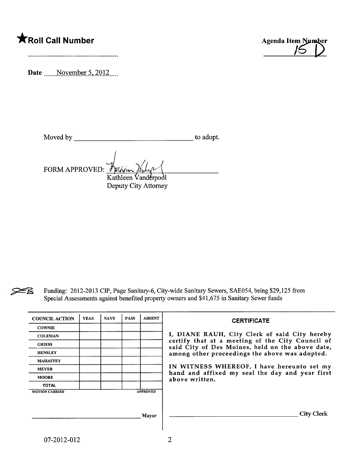# $\bigstar$ Roll Call Number  $\bigstar$



Date  $\frac{\text{November 5, 2012}}{\text{November 5}}$ 

Moved by to adopt.

FORM APPROVED: Fullem Kathleen Vanderpool Deputy City Attorney

FB Funding: 2012-2013 CIP, Page Sanitary-6, City-wide Sanitary Sewers, SAE054, being \$29,125 from Special Assessments against benefited property owners and \$41,675 in Sanitary Sewer funds

| <b>COUNCIL ACTION</b> | <b>YEAS</b> | <b>NAYS</b> | <b>PASS</b> | <b>ABSENT</b>   | <b>CERTIFICATE</b>                                                                                   |
|-----------------------|-------------|-------------|-------------|-----------------|------------------------------------------------------------------------------------------------------|
| <b>COWNIE</b>         |             |             |             |                 |                                                                                                      |
| <b>COLEMAN</b>        |             |             |             |                 | I, DIANE RAUH, City Clerk of said City hereby                                                        |
| <b>GRIESS</b>         |             |             |             |                 | certify that at a meeting of the City Council of<br>said City of Des Moines, held on the above date, |
| <b>HENSLEY</b>        |             |             |             |                 | among other proceedings the above was adopted.                                                       |
| <b>MAHAFFEY</b>       |             |             |             |                 |                                                                                                      |
| <b>MEYER</b>          |             |             |             |                 | IN WITNESS WHEREOF, I have hereunto set my<br>hand and affixed my seal the day and year first        |
| <b>MOORE</b>          |             |             |             |                 | above written.                                                                                       |
| <b>TOTAL</b>          |             |             |             |                 |                                                                                                      |
| <b>MOTION CARRIED</b> |             |             |             | <b>APPROVED</b> |                                                                                                      |
|                       |             |             |             |                 |                                                                                                      |
|                       |             |             |             | Mayor           | <b>City Clerk</b>                                                                                    |
|                       |             |             |             |                 |                                                                                                      |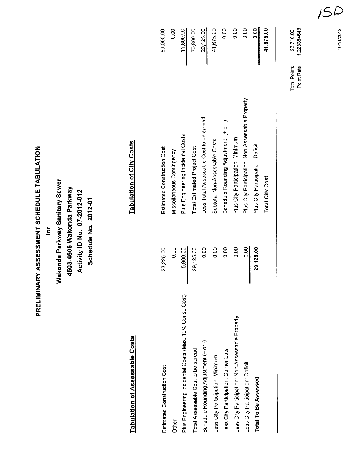PRELIMINARY ASSESSMENT SCHEDULE TABULATION PRELIMINARY ASSESSMENT SCHEDULE TABULATION

for

Wakonda Parkway Sanitary Sewer Wakonda Parkway Sanitary Sewer 4503-4506 Wakonda Parkway 4503-4506 Wakonda Parkway Activity ID No. 07-2012-012 Activity 10 No. 07-2012-012 Schedule No. 2012-01 Schedule No. 2012-01

# Tabulation of Assessable Costs Tabulation of City Costs Tabulation of Assessable Costs

**Tabulation of City Costs** 

0.00 0.00 0.00 0.00 41,675.00  $0.00$ 59,000.00 70,800.00 29,125.00 11,800.00 Less City Participation: Non-Assessable Property 0.00 0.00 Plus City Participation: Minimum 0.00 0.00 Less City Participation: Deficit 0.00 D.00 D.00 Plus City Participation: Non-Assessable Property 0.00 Total To Be Assessed  $29,125.00$  Plus City Participation: Deficit  $\blacksquare$ Estimated Construction Cost 23,225.00 23,225.00 Estimated Construction Cost 59,000.00 Other 0.00 Miscellaneous Contingency Miscellaneous Contingency Plus Engineering Incidental Costs (Max. 10% Const. Cost) 5,900.00 Plus Engineering Incidental Costs 11,800.00 Total Assessable Cost to be spread 29,125.00 Total Estimated Project Cost 70,800.00 Schedule Rounding Adjustment (+ or -) and D.00 C.00 Less Total Assessable Cost to be spread 29,125.00 Less City Participation: Minimum 0.00 Subtotal Non-Assessable Costs 41,675.00 Less City Participation: Corner Lots 0.00 0.00 0.00 0.00 Schedule Rounding Adjustment (+ or -) 0.00 Plus City Participation: Non-Assessable Property Less Total Assessable Cost to be spread Schedule Rounding Adjustment (+ or -) Plus Engineering Incidental Costs Plus City Participation: Minimum Subtotal Non-Assessable Costs Plus City Participation: Deficit Estimated Construction Cost **Total Estimated Project Cost** Miscellaneous Contingency 0.00 0.00 0.00  $0.00$ 0.00 0.00 23,225.00 5,900.00 29,125.00 29,125.00 Plus Engineering Incidental Costs (Max. 10% Const. Cost) Less City Participation: Non-Assessable Property Schedule Rounding Adjustment (+ or -) Total Assessable Cost to be spread Less City Participation: Corner Lots Less City Participation: Minimum Less City Participation: Deficit Estimated Construction Cost Total To Be Assessed Other

Total City Cost 41,675.00

**Total City Cost** 

41,675.00

Total Points 23,710.00 Point Rate 1.228384648

23,710.00

1.228384648

Point Rate **Total Points** 

10/11/2012<br>1 10/11/2012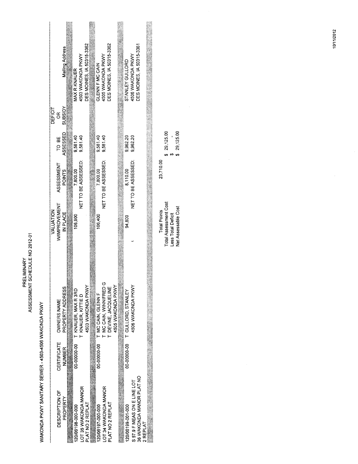PRELIMINARY<br>ASSESSMENT SCHEDULE NO 2012-01

WAKONDA PKWY SANITARY SEWER - 4503-4506 WAKONDA PKWY

|           |                    | Mailing Address  | MAX R KNAUER                    | 4503 WAKONDA PKWY    |                   | GLENN F MC CAIN                 | 4505 WAKONDA PKWY      | DES MOINES, IA 50315-3362 |                   | STANLEY GULLORD                | 4506 WAKONDA PKWY           | DES MOINES, IA 50315-3361 |          |  |
|-----------|--------------------|------------------|---------------------------------|----------------------|-------------------|---------------------------------|------------------------|---------------------------|-------------------|--------------------------------|-----------------------------|---------------------------|----------|--|
| DEFICIT   | õ                  | <b>Adisans</b>   |                                 |                      |                   |                                 |                        |                           |                   |                                |                             |                           |          |  |
|           | TO BE              | ASSESSED         | 9.581.40                        | 9,581.40             |                   | 9,581.40                        | 9,581.40               |                           |                   | 9,962.20                       | 9,962.20                    |                           |          |  |
|           | ASSESSMENT         | POINTS           | 7,800.00                        | NET TO BE ASSESSED:  |                   | 7,800.00                        | NET TO BE ASSESSED:    |                           |                   | 8,110.00                       | NET TO BE ASSESSED:         |                           |          |  |
| VALUATION | WIMPROVEMENT       | IN PLACE         | 106,900                         |                      |                   | 106,400                         |                        |                           |                   | 94,800                         |                             |                           |          |  |
|           | <b>OWNERS NAME</b> | PROPERTY ADDRESS | 00-00000-00 T KNAUER, MAX R 3RD | T KNAUER, KITTE D    | 4503 WAKONDA PKWY | 00-00000-000 T MC CAIN, GLENN F | T MC CAIN, WINNIFRED G | T DEVINE, JACQUELINE      | 4505 WAKONDA PKWY | 00-00000-00 T GULLORD, STANLEY | 4506 WAKONDA PKWY           |                           |          |  |
|           | CERTIFICATE        | NUMBER           |                                 |                      |                   |                                 |                        |                           |                   |                                |                             |                           |          |  |
|           | DESCRIPTION OF     | PROPERTY         | 20/06198-000-000                | LOT 35 WAKONDA MANOR | PLAT NO 2 REPLAT  | 120/06197-000-000               | LOT 34 WAKONDA MANOR   | PLAT NO 2 REPLAT          |                   | 120/06199-001-000              | S 57.9 F MEAS ON E LINE LOT | 36 WAKONDA MANOR PLAT NO  | 2 REPLAT |  |

 $\begin{array}{cccc} 0 & 29,125.00 \\ 3 & 3 & 3 \\ 4 & 29,125.00 \end{array}$ 23,710.00 Total Points<br>Total Assessment Cost<br>Less Total Deficit<br>Net Assessable Cost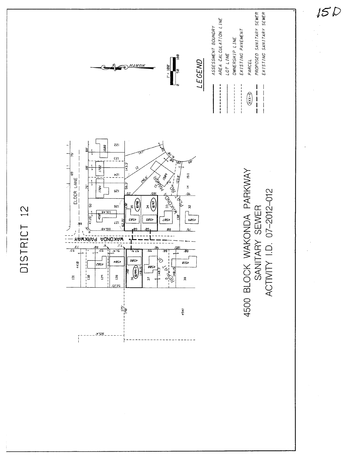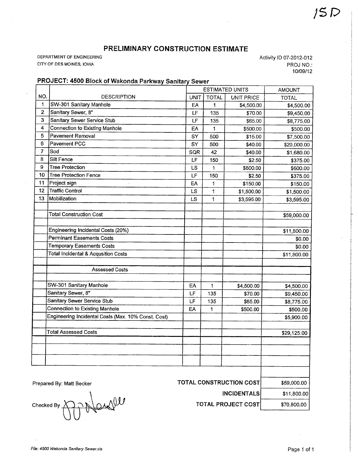## PRELIMINARY CONSTRUCTION ESTIMATE

DEPARTMENT OF ENGINEERING CITY OF DES MOINES, IOWA

Activity ID 07-2012-012 PROJ NO.: 10/09/12

## PROJECT: 4500 Block of Wakonda Parkway Sanitary Sewer

|                |                                                     |           | <b>ESTIMATED UNITS</b>  | <b>AMOUNT</b>                   |              |
|----------------|-----------------------------------------------------|-----------|-------------------------|---------------------------------|--------------|
| NO.            | <b>DESCRIPTION</b>                                  | UNIT      | <b>TOTAL</b>            | <b>UNIT PRICE</b>               | <b>TOTAL</b> |
| 1              | SW-301 Sanitary Manhole                             | EA        | 1                       | \$4,500.00                      | \$4,500.00   |
| $\mathbf 2$    | Sanitary Sewer, 8"                                  | LF        | 135                     | \$70.00                         | \$9,450.00   |
| 3              | Sanitary Sewer Service Stub                         | LF        | 135                     | \$65.00                         | \$8,775.00   |
| 4              | Connection to Existing Manhole                      | EA        | 1                       | \$500.00                        | \$500.00     |
| 5              | <b>Pavement Removal</b>                             | SY        | 500                     | \$15.00                         | \$7,500.00   |
| 6              | Pavement PCC                                        | SY        | 500                     | \$40.00                         | \$20,000.00  |
| $\overline{7}$ | Sod                                                 | SQR       | 42                      | \$40.00                         | \$1,680.00   |
| 8              | Silt Fence                                          | LF        | 150                     | \$2.50                          | \$375.00     |
| 9              | <b>Tree Protection</b>                              | LS        | 1                       | \$600.00                        | \$600.00     |
| 10             | <b>Tree Protection Fence</b><br>$\bar{\mathcal{A}}$ | LF        | 150                     | \$2.50                          | \$375.00     |
| 11             | Project sign<br>ä,                                  | EA        | 1                       | \$150.00                        | \$150.00     |
| $12 \,$        | <b>Traffic Control</b>                              | <b>LS</b> | $\overline{\mathbf{1}}$ | \$1,500.00                      | \$1,500.00   |
| 13             | Mobilization                                        | <b>LS</b> | 1                       | \$3,595.00                      | \$3,595.00   |
|                | <b>Total Construction Cost</b>                      |           |                         |                                 | \$59,000.00  |
|                | Engineering Incidental Costs (20%)                  |           |                         |                                 | \$11,800.00  |
|                | <b>Perminant Easements Costs</b>                    |           |                         |                                 | \$0.00       |
|                | <b>Temporary Easements Costs</b>                    |           |                         |                                 | \$0.00       |
|                | <b>Total Incidental &amp; Acqusition Costs</b>      |           |                         |                                 | \$11,800.00  |
|                | <b>Assessed Costs</b>                               |           |                         |                                 |              |
|                | SW-301 Sanitary Manhole                             | EA        | 1                       | \$4,500.00                      | \$4,500.00   |
|                | Sanitary Sewer, 8"                                  | LF        | 135                     | \$70.00                         | \$9,450.00   |
|                | Sanitary Sewer Service Stub                         | LF        | 135                     | \$65.00                         | \$8,775.00   |
|                | <b>Connection to Existing Manhole</b>               | EΑ        | 1                       | \$500.00                        | \$500.00     |
|                | Engineering Incidental Costs (Max. 10% Const. Cost) |           |                         |                                 | \$5,900.00   |
|                | <b>Total Assessed Costs</b>                         |           |                         |                                 | \$29,125.00  |
|                |                                                     |           |                         |                                 |              |
|                | Prepared By: Matt Becker                            |           |                         | <b>TOTAL CONSTRUCTION COSTI</b> | \$59,000.00  |

.\ Prepared By: Matt Becker<br>Checked By  $\bigodot \bigodot \bigotimes$ <br>Checked By  $\bigodot \bigodot \bigodot$ 

**INCIDENTALS** \$11,800.00